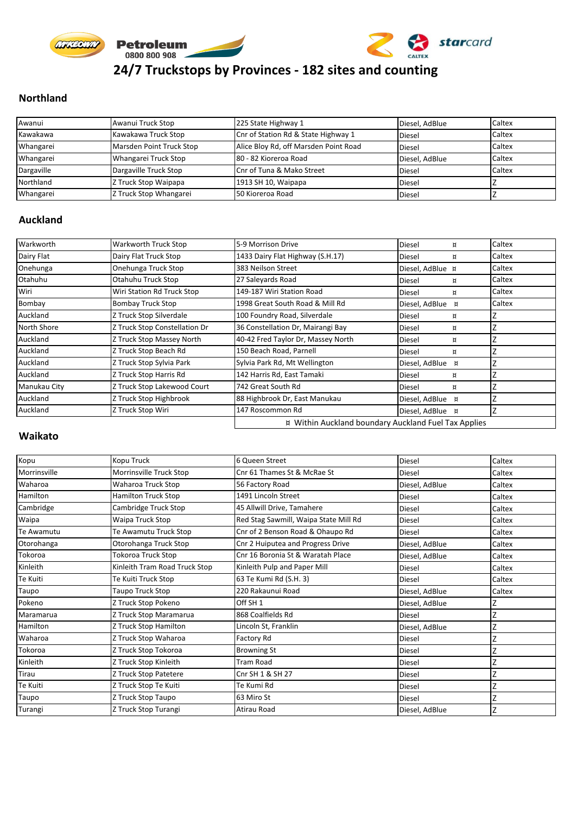

#### **Northland**

| Awanui     | Awanui Truck Stop        | 225 State Highway 1                   | Diesel, AdBlue | Caltex |
|------------|--------------------------|---------------------------------------|----------------|--------|
| Kawakawa   | Kawakawa Truck Stop      | Cnr of Station Rd & State Highway 1   | <b>Diesel</b>  | Caltex |
| Whangarei  | Marsden Point Truck Stop | Alice Bloy Rd, off Marsden Point Road | <b>Diesel</b>  | Caltex |
| Whangarei  | Whangarei Truck Stop     | 80 - 82 Kioreroa Road                 | Diesel, AdBlue | Caltex |
| Dargaville | Dargaville Truck Stop    | Cnr of Tuna & Mako Street             | <b>Diesel</b>  | Caltex |
| Northland  | Z Truck Stop Waipapa     | 1913 SH 10, Waipapa                   | <b>Diesel</b>  |        |
| Whangarei  | Z Truck Stop Whangarei   | 50 Kioreroa Road                      | <b>Diesel</b>  |        |

#### **Auckland**

| Warkworth          | Warkworth Truck Stop          | 5-9 Morrison Drive                                   | <b>Diesel</b><br>¤  | Caltex |
|--------------------|-------------------------------|------------------------------------------------------|---------------------|--------|
| Dairy Flat         | Dairy Flat Truck Stop         | 1433 Dairy Flat Highway (S.H.17)                     | Diesel<br>¤         | Caltex |
| Onehunga           | Onehunga Truck Stop           | 383 Neilson Street                                   | Diesel, AdBlue x    | Caltex |
| Otahuhu            | Otahuhu Truck Stop            | 27 Saleyards Road                                    | <b>Diesel</b><br>¤  | Caltex |
| Wiri               | Wiri Station Rd Truck Stop    | 149-187 Wiri Station Road                            | <b>Diesel</b><br>¤  | Caltex |
| Bombay             | <b>Bombay Truck Stop</b>      | 1998 Great South Road & Mill Rd                      | Diesel, AdBlue<br>¤ | Caltex |
| Auckland           | Z Truck Stop Silverdale       | 100 Foundry Road, Silverdale                         | Diesel<br>¤         |        |
| <b>North Shore</b> | Z Truck Stop Constellation Dr | 36 Constellation Dr, Mairangi Bay                    | Diesel<br>¤         |        |
| Auckland           | Z Truck Stop Massey North     | 40-42 Fred Taylor Dr, Massey North                   | <b>Diesel</b><br>¤  |        |
| Auckland           | Z Truck Stop Beach Rd         | 150 Beach Road, Parnell                              | Diesel<br>¤         |        |
| Auckland           | Z Truck Stop Sylvia Park      | Sylvia Park Rd, Mt Wellington                        | Diesel, AdBlue<br>¤ |        |
| Auckland           | Z Truck Stop Harris Rd        | 142 Harris Rd, East Tamaki                           | Diesel<br>¤         |        |
| Manukau City       | Z Truck Stop Lakewood Court   | 742 Great South Rd                                   | Diesel<br>¤         |        |
| Auckland           | Z Truck Stop Highbrook        | 88 Highbrook Dr, East Manukau                        | Diesel, AdBlue x    |        |
| Auckland           | Z Truck Stop Wiri             | 147 Roscommon Rd                                     | Diesel, AdBlue x    |        |
|                    |                               | ¤ Within Auckland boundary Auckland Fuel Tax Applies |                     |        |

#### **Waikato**

| Kopu         | Kopu Truck                    | 6 Queen Street                        | <b>Diesel</b>  | Caltex |
|--------------|-------------------------------|---------------------------------------|----------------|--------|
| Morrinsville | Morrinsville Truck Stop       | Cnr 61 Thames St & McRae St           | <b>Diesel</b>  | Caltex |
| Waharoa      | Waharoa Truck Stop            | 56 Factory Road                       | Diesel, AdBlue | Caltex |
| Hamilton     | <b>Hamilton Truck Stop</b>    | 1491 Lincoln Street                   | <b>Diesel</b>  | Caltex |
| Cambridge    | Cambridge Truck Stop          | 45 Allwill Drive, Tamahere            | <b>Diesel</b>  | Caltex |
| Waipa        | Waipa Truck Stop              | Red Stag Sawmill, Waipa State Mill Rd | <b>Diesel</b>  | Caltex |
| Te Awamutu   | Te Awamutu Truck Stop         | Cnr of 2 Benson Road & Ohaupo Rd      | <b>Diesel</b>  | Caltex |
| Otorohanga   | Otorohanga Truck Stop         | Cnr 2 Huiputea and Progress Drive     | Diesel, AdBlue | Caltex |
| Tokoroa      | Tokoroa Truck Stop            | Cnr 16 Boronia St & Waratah Place     | Diesel, AdBlue | Caltex |
| Kinleith     | Kinleith Tram Road Truck Stop | Kinleith Pulp and Paper Mill          | <b>Diesel</b>  | Caltex |
| Te Kuiti     | Te Kuiti Truck Stop           | 63 Te Kumi Rd (S.H. 3)                | <b>Diesel</b>  | Caltex |
| Taupo        | Taupo Truck Stop              | 220 Rakaunui Road                     | Diesel, AdBlue | Caltex |
| Pokeno       | Z Truck Stop Pokeno           | Off SH <sub>1</sub>                   | Diesel, AdBlue |        |
| Maramarua    | Z Truck Stop Maramarua        | 868 Coalfields Rd                     | <b>Diesel</b>  |        |
| Hamilton     | Z Truck Stop Hamilton         | Lincoln St, Franklin                  | Diesel, AdBlue |        |
| Waharoa      | Z Truck Stop Waharoa          | Factory Rd                            | <b>Diesel</b>  |        |
| Tokoroa      | Z Truck Stop Tokoroa          | <b>Browning St</b>                    | <b>Diesel</b>  |        |
| Kinleith     | Z Truck Stop Kinleith         | Tram Road                             | <b>Diesel</b>  |        |
| Tirau        | Z Truck Stop Patetere         | Cnr SH 1 & SH 27                      | <b>Diesel</b>  |        |
| Te Kuiti     | Z Truck Stop Te Kuiti         | Te Kumi Rd                            | <b>Diesel</b>  |        |
| Taupo        | Z Truck Stop Taupo            | 63 Miro St                            | <b>Diesel</b>  |        |
| Turangi      | Z Truck Stop Turangi          | Atirau Road                           | Diesel, AdBlue |        |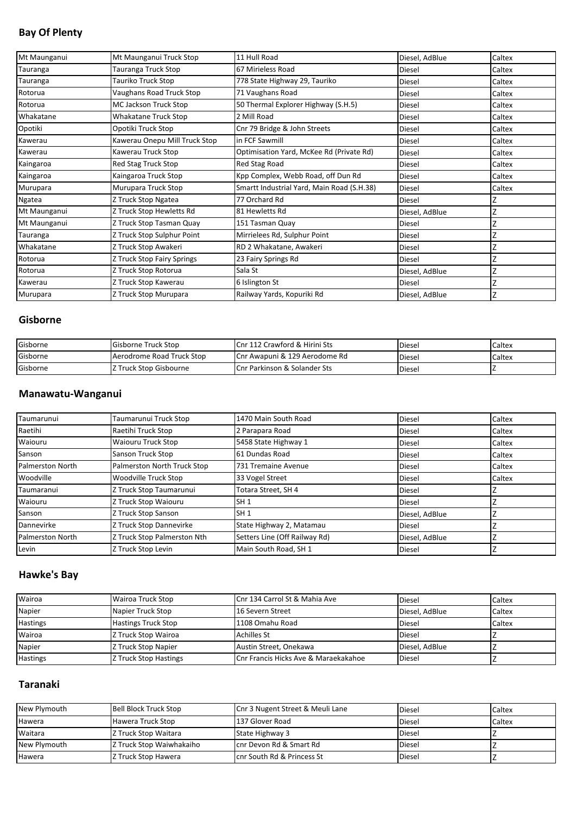# **Bay Of Plenty**

| Mt Maunganui | Mt Maunganui Truck Stop       | 11 Hull Road                               | Diesel, AdBlue | Caltex |
|--------------|-------------------------------|--------------------------------------------|----------------|--------|
| Tauranga     | Tauranga Truck Stop           | 67 Mirieless Road                          | <b>Diesel</b>  | Caltex |
| Tauranga     | Tauriko Truck Stop            | 778 State Highway 29, Tauriko              | <b>Diesel</b>  | Caltex |
| Rotorua      | Vaughans Road Truck Stop      | 71 Vaughans Road                           | <b>Diesel</b>  | Caltex |
| Rotorua      | MC Jackson Truck Stop         | 50 Thermal Explorer Highway (S.H.5)        | <b>Diesel</b>  | Caltex |
| Whakatane    | Whakatane Truck Stop          | 2 Mill Road                                | <b>Diesel</b>  | Caltex |
| Opotiki      | Opotiki Truck Stop            | Cnr 79 Bridge & John Streets               | <b>Diesel</b>  | Caltex |
| Kawerau      | Kawerau Onepu Mill Truck Stop | in FCF Sawmill                             | <b>Diesel</b>  | Caltex |
| Kawerau      | Kawerau Truck Stop            | Optimisation Yard, McKee Rd (Private Rd)   | <b>Diesel</b>  | Caltex |
| Kaingaroa    | Red Stag Truck Stop           | Red Stag Road                              | <b>Diesel</b>  | Caltex |
| Kaingaroa    | Kaingaroa Truck Stop          | Kpp Complex, Webb Road, off Dun Rd         | <b>Diesel</b>  | Caltex |
| Murupara     | Murupara Truck Stop           | Smartt Industrial Yard, Main Road (S.H.38) | <b>Diesel</b>  | Caltex |
| Ngatea       | Z Truck Stop Ngatea           | 77 Orchard Rd                              | <b>Diesel</b>  |        |
| Mt Maunganui | Z Truck Stop Hewletts Rd      | 81 Hewletts Rd                             | Diesel, AdBlue |        |
| Mt Maunganui | Z Truck Stop Tasman Quay      | 151 Tasman Quay                            | <b>Diesel</b>  |        |
| Tauranga     | Z Truck Stop Sulphur Point    | Mirrielees Rd, Sulphur Point               | <b>Diesel</b>  |        |
| Whakatane    | Z Truck Stop Awakeri          | RD 2 Whakatane, Awakeri                    | <b>Diesel</b>  |        |
| Rotorua      | Z Truck Stop Fairy Springs    | 23 Fairy Springs Rd                        | Diesel         |        |
| Rotorua      | Z Truck Stop Rotorua          | Sala St                                    | Diesel, AdBlue |        |
| Kawerau      | Z Truck Stop Kawerau          | 6 Islington St                             | <b>Diesel</b>  |        |
| Murupara     | Z Truck Stop Murupara         | Railway Yards, Kopuriki Rd                 | Diesel, AdBlue |        |

#### **Gisborne**

| Gisborne | <b>Gisborne Truck Stop</b> | Cnr 112 Crawford & Hirini Sts           | <b>Diesel</b> | <b>Caltex</b> |
|----------|----------------------------|-----------------------------------------|---------------|---------------|
| Gisborne | Aerodrome Road Truck Stop  | Cnr Awapuni & 129 Aerodome Rd           | <b>Diesel</b> | Caltex        |
| Gisborne | Z Truck Stop Gisbourne     | <b>Cnr Parkinson &amp; Solander Sts</b> | <b>Diesel</b> |               |

## **Manawatu-Wanganui**

| Taumarunui              | Taumarunui Truck Stop       | 1470 Main South Road          | <b>Diesel</b>  | Caltex |
|-------------------------|-----------------------------|-------------------------------|----------------|--------|
| Raetihi                 | Raetihi Truck Stop          | 2 Parapara Road               | <b>Diesel</b>  | Caltex |
| Waiouru                 | <b>Waiouru Truck Stop</b>   | 5458 State Highway 1          | <b>Diesel</b>  | Caltex |
| Sanson                  | Sanson Truck Stop           | 61 Dundas Road                | Diesel         | Caltex |
| <b>Palmerston North</b> | Palmerston North Truck Stop | 731 Tremaine Avenue           | Diesel         | Caltex |
| Woodville               | <b>Woodville Truck Stop</b> | 33 Vogel Street               | <b>Diesel</b>  | Caltex |
| Taumaranui              | Z Truck Stop Taumarunui     | Fotara Street, SH 4           | Diesel         |        |
| Waiouru                 | Z Truck Stop Waiouru        | SH 1                          | Diesel         |        |
| Sanson                  | Z Truck Stop Sanson         | SH <sub>1</sub>               | Diesel, AdBlue |        |
| Dannevirke              | Z Truck Stop Dannevirke     | State Highway 2, Matamau      | <b>Diesel</b>  |        |
| <b>Palmerston North</b> | Z Truck Stop Palmerston Nth | Setters Line (Off Railway Rd) | Diesel, AdBlue |        |
| Levin                   | Z Truck Stop Levin          | Main South Road, SH 1         | <b>Diesel</b>  |        |

## **Hawke's Bay**

| Wairoa          | <b>Wairoa Truck Stop</b>   | Cnr 134 Carrol St & Mahia Ave        | <b>Diesel</b>  | <b>Caltex</b> |
|-----------------|----------------------------|--------------------------------------|----------------|---------------|
| Napier          | Napier Truck Stop          | 16 Severn Street                     | Diesel, AdBlue | Caltex        |
| <b>Hastings</b> | <b>Hastings Truck Stop</b> | 1108 Omahu Road                      | <b>Diesel</b>  | Caltex        |
| Wairoa          | Z Truck Stop Wairoa        | <b>Achilles St</b>                   | <b>Diesel</b>  |               |
| Napier          | Z Truck Stop Napier        | Austin Street, Onekawa               | Diesel, AdBlue |               |
| <b>Hastings</b> | Z Truck Stop Hastings      | Cnr Francis Hicks Ave & Maraekakahoe | <b>Diesel</b>  |               |

## **Taranaki**

| New Plymouth | Bell Block Truck Stop       | Cnr 3 Nugent Street & Meuli Lane | <b>Diesel</b> | Caltex |
|--------------|-----------------------------|----------------------------------|---------------|--------|
| Hawera       | Hawera Truck Stop           | 137 Glover Road                  | <b>Diesel</b> | Caltex |
| Waitara      | <b>Z Truck Stop Waitara</b> | State Highway 3                  | <b>Diesel</b> |        |
| New Plymouth | IZ Truck Stop Waiwhakaiho   | cnr Devon Rd & Smart Rd          | <b>Diesel</b> |        |
| Hawera       | <b>Z Truck Stop Hawera</b>  | cnr South Rd & Princess St       | <b>Diesel</b> |        |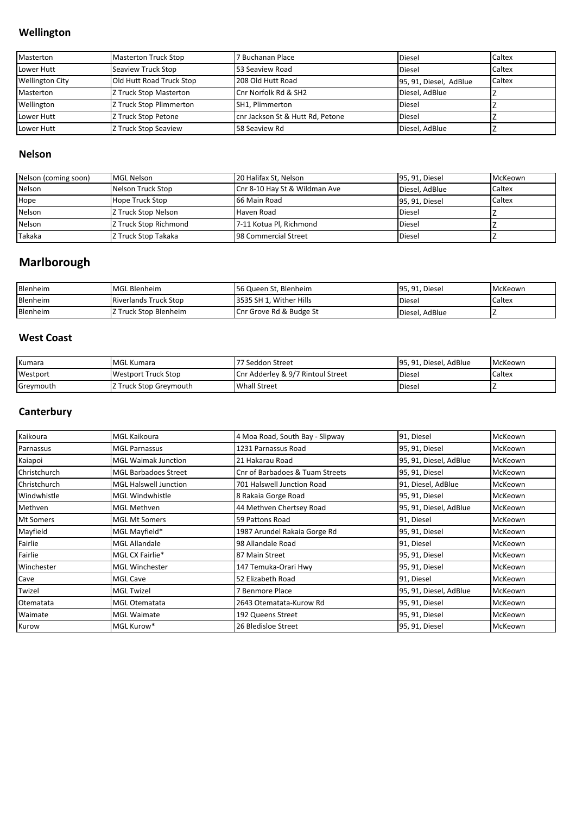## **Wellington**

| Masterton              | <b>Masterton Truck Stop</b> | 7 Buchanan Place                 | <b>Diesel</b>          | Caltex |
|------------------------|-----------------------------|----------------------------------|------------------------|--------|
| Lower Hutt             | Seaview Truck Stop          | 53 Seaview Road                  | <b>Diesel</b>          | Caltex |
| <b>Wellington City</b> | Old Hutt Road Truck Stop    | 208 Old Hutt Road                | 95, 91, Diesel, AdBlue | Caltex |
| Masterton              | Z Truck Stop Masterton      | Cnr Norfolk Rd & SH2             | Diesel, AdBlue         |        |
| Wellington             | Z Truck Stop Plimmerton     | SH1, Plimmerton                  | <b>Diesel</b>          |        |
| Lower Hutt             | Z Truck Stop Petone         | cnr Jackson St & Hutt Rd, Petone | <b>Diesel</b>          |        |
| Lower Hutt             | Z Truck Stop Seaview        | 58 Seaview Rd                    | Diesel, AdBlue         |        |

#### **Nelson**

| Nelson (coming soon) | <b>MGL Nelson</b>            | 20 Halifax St, Nelson         | 95, 91, Diesel | McKeown |
|----------------------|------------------------------|-------------------------------|----------------|---------|
| Nelson               | Nelson Truck Stop            | Cnr 8-10 Hay St & Wildman Ave | Diesel, AdBlue | Caltex  |
| Hope                 | <b>Hope Truck Stop</b>       | 66 Main Road                  | 95, 91, Diesel | Caltex  |
| Nelson               | Z Truck Stop Nelson          | Haven Road                    | <b>Diesel</b>  |         |
| Nelson               | <b>Z Truck Stop Richmond</b> | 7-11 Kotua Pl, Richmond       | <b>Diesel</b>  |         |
| Takaka               | Z Truck Stop Takaka          | <b>98 Commercial Street</b>   | <b>Diesel</b>  |         |

# **Marlborough**

| Blenheim | <b>MGL Blenheim</b>          | 56 Queen St, Blenheim   | 95, 91, Diesel | McKeown |
|----------|------------------------------|-------------------------|----------------|---------|
| Blenheim | <b>Riverlands Truck Stop</b> | 3535 SH 1. Wither Hills | <b>Diesel</b>  | Caltex  |
| Blenheim | <b>Z Truck Stop Blenheim</b> | Cnr Grove Rd & Budge St | Diesel, AdBlue |         |

## **West Coast**

| Kumara    | <b>MGL Kumara</b>      | 177 Seddon Street                 | 195.91. Diesel. AdBlue | McKeown |
|-----------|------------------------|-----------------------------------|------------------------|---------|
| Westport  | Westport Truck Stop    | Cnr Adderley & 9/7 Rintoul Street | <b>Diese</b>           | Caltex  |
| Greymouth | Z Truck Stop Greymouth | <b>Whall Street</b>               | <b>Diese</b>           |         |

## **Canterbury**

| Kaikoura     | <b>MGL Kaikoura</b>          | 4 Moa Road, South Bay - Slipway | 91, Diesel             | McKeown        |
|--------------|------------------------------|---------------------------------|------------------------|----------------|
| Parnassus    | <b>MGL Parnassus</b>         | 1231 Parnassus Road             | 95, 91, Diesel         | <b>McKeown</b> |
| Kaiapoi      | <b>MGL Waimak Junction</b>   | 21 Hakarau Road                 | 95, 91, Diesel, AdBlue | <b>McKeown</b> |
| Christchurch | <b>MGL Barbadoes Street</b>  | Cnr of Barbadoes & Tuam Streets | 95, 91, Diesel         | McKeown        |
| Christchurch | <b>MGL Halswell Junction</b> | 701 Halswell Junction Road      | 91, Diesel, AdBlue     | McKeown        |
| Windwhistle  | <b>MGL Windwhistle</b>       | 8 Rakaia Gorge Road             | 95, 91, Diesel         | <b>McKeown</b> |
| Methven      | <b>MGL Methven</b>           | 44 Methven Chertsey Road        | 95, 91, Diesel, AdBlue | McKeown        |
| Mt Somers    | <b>MGL Mt Somers</b>         | 59 Pattons Road                 | 91, Diesel             | <b>McKeown</b> |
| Mayfield     | MGL Mayfield*                | 1987 Arundel Rakaia Gorge Rd    | 95, 91, Diesel         | McKeown        |
| Fairlie      | <b>MGL Allandale</b>         | 98 Allandale Road               | 91, Diesel             | McKeown        |
| Fairlie      | MGL CX Fairlie*              | 87 Main Street                  | 95, 91, Diesel         | <b>McKeown</b> |
| Winchester   | <b>MGL Winchester</b>        | 147 Temuka-Orari Hwy            | 95, 91, Diesel         | McKeown        |
| Cave         | <b>MGL Cave</b>              | 52 Elizabeth Road               | 91, Diesel             | McKeown        |
| Twizel       | <b>MGL Twizel</b>            | 7 Benmore Place                 | 95, 91, Diesel, AdBlue | McKeown        |
| Otematata    | <b>MGL Otematata</b>         | 2643 Otematata-Kurow Rd         | 95, 91, Diesel         | <b>McKeown</b> |
| Waimate      | <b>MGL Waimate</b>           | 192 Queens Street               | 95, 91, Diesel         | McKeown        |
| Kurow        | MGL Kurow*                   | 26 Bledisloe Street             | 95, 91, Diesel         | McKeown        |